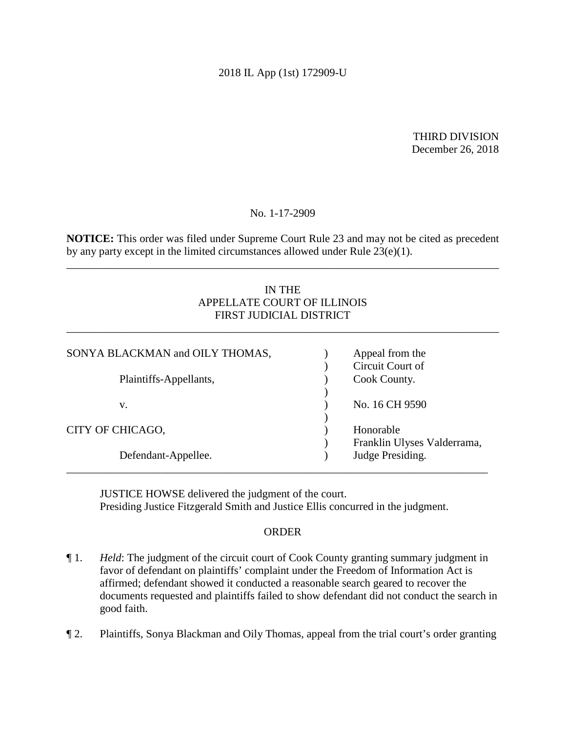## 2018 IL App (1st) 172909-U

THIRD DIVISION December 26, 2018

No. 1-17-2909

 by any party except in the limited circumstances allowed under Rule 23(e)(1). **NOTICE:** This order was filed under Supreme Court Rule 23 and may not be cited as precedent

\_\_\_\_\_\_\_\_\_\_\_\_\_\_\_\_\_\_\_\_\_\_\_\_\_\_\_\_\_\_\_\_\_\_\_\_\_\_\_\_\_\_\_\_\_\_\_\_\_\_\_\_\_\_\_\_\_\_\_\_\_\_\_\_\_\_\_\_\_\_\_\_\_\_\_\_\_\_

# IN THE APPELLATE COURT OF ILLINOIS FIRST JUDICIAL DISTRICT

\_\_\_\_\_\_\_\_\_\_\_\_\_\_\_\_\_\_\_\_\_\_\_\_\_\_\_\_\_\_\_\_\_\_\_\_\_\_\_\_\_\_\_\_\_\_\_\_\_\_\_\_\_\_\_\_\_\_\_\_\_\_\_\_\_\_\_\_\_\_\_\_\_\_\_\_\_\_

| SONYA BLACKMAN and OILY THOMAS, | Appeal from the<br>Circuit Court of             |
|---------------------------------|-------------------------------------------------|
| Plaintiffs-Appellants,          | Cook County.                                    |
| v.                              | No. 16 CH 9590                                  |
| CITY OF CHICAGO,                | Honorable                                       |
| Defendant-Appellee.             | Franklin Ulyses Valderrama,<br>Judge Presiding. |
|                                 |                                                 |

 Presiding Justice Fitzgerald Smith and Justice Ellis concurred in the judgment. JUSTICE HOWSE delivered the judgment of the court.

## ORDER

- ¶ 1. *Held*: The judgment of the circuit court of Cook County granting summary judgment in documents requested and plaintiffs failed to show defendant did not conduct the search in favor of defendant on plaintiffs' complaint under the Freedom of Information Act is affirmed; defendant showed it conducted a reasonable search geared to recover the good faith.
- ¶ 2. Plaintiffs, Sonya Blackman and Oily Thomas, appeal from the trial court's order granting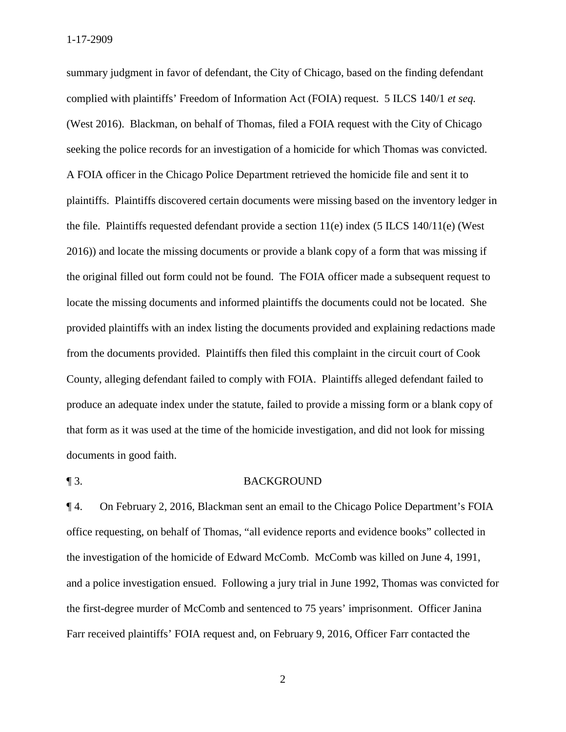summary judgment in favor of defendant, the City of Chicago, based on the finding defendant complied with plaintiffs' Freedom of Information Act (FOIA) request. 5 ILCS 140/1 *et seq.*  (West 2016). Blackman, on behalf of Thomas, filed a FOIA request with the City of Chicago seeking the police records for an investigation of a homicide for which Thomas was convicted. A FOIA officer in the Chicago Police Department retrieved the homicide file and sent it to plaintiffs. Plaintiffs discovered certain documents were missing based on the inventory ledger in the file. Plaintiffs requested defendant provide a section 11(e) index (5 ILCS 140/11(e) (West 2016)) and locate the missing documents or provide a blank copy of a form that was missing if the original filled out form could not be found. The FOIA officer made a subsequent request to locate the missing documents and informed plaintiffs the documents could not be located. She provided plaintiffs with an index listing the documents provided and explaining redactions made from the documents provided. Plaintiffs then filed this complaint in the circuit court of Cook County, alleging defendant failed to comply with FOIA. Plaintiffs alleged defendant failed to produce an adequate index under the statute, failed to provide a missing form or a blank copy of that form as it was used at the time of the homicide investigation, and did not look for missing documents in good faith.

#### ¶ 3. BACKGROUND

¶ 4. On February 2, 2016, Blackman sent an email to the Chicago Police Department's FOIA office requesting, on behalf of Thomas, "all evidence reports and evidence books" collected in the investigation of the homicide of Edward McComb. McComb was killed on June 4, 1991, and a police investigation ensued. Following a jury trial in June 1992, Thomas was convicted for the first-degree murder of McComb and sentenced to 75 years' imprisonment. Officer Janina Farr received plaintiffs' FOIA request and, on February 9, 2016, Officer Farr contacted the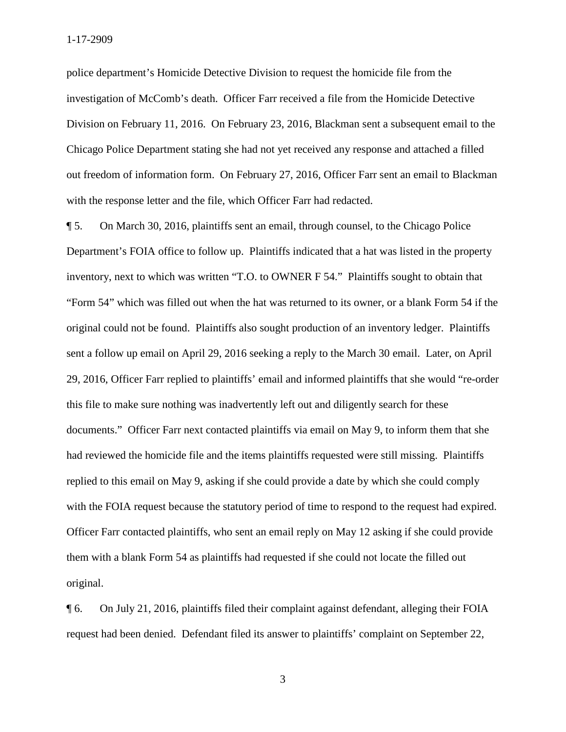Chicago Police Department stating she had not yet received any response and attached a filled with the response letter and the file, which Officer Farr had redacted. police department's Homicide Detective Division to request the homicide file from the investigation of McComb's death. Officer Farr received a file from the Homicide Detective Division on February 11, 2016. On February 23, 2016, Blackman sent a subsequent email to the out freedom of information form. On February 27, 2016, Officer Farr sent an email to Blackman

 inventory, next to which was written "T.O. to OWNER F 54." Plaintiffs sought to obtain that documents." Officer Farr next contacted plaintiffs via email on May 9, to inform them that she ¶ 5. On March 30, 2016, plaintiffs sent an email, through counsel, to the Chicago Police Department's FOIA office to follow up. Plaintiffs indicated that a hat was listed in the property "Form 54" which was filled out when the hat was returned to its owner, or a blank Form 54 if the original could not be found. Plaintiffs also sought production of an inventory ledger. Plaintiffs sent a follow up email on April 29, 2016 seeking a reply to the March 30 email. Later, on April 29, 2016, Officer Farr replied to plaintiffs' email and informed plaintiffs that she would "re-order this file to make sure nothing was inadvertently left out and diligently search for these had reviewed the homicide file and the items plaintiffs requested were still missing. Plaintiffs replied to this email on May 9, asking if she could provide a date by which she could comply with the FOIA request because the statutory period of time to respond to the request had expired. Officer Farr contacted plaintiffs, who sent an email reply on May 12 asking if she could provide them with a blank Form 54 as plaintiffs had requested if she could not locate the filled out original.

 ¶ 6. On July 21, 2016, plaintiffs filed their complaint against defendant, alleging their FOIA request had been denied. Defendant filed its answer to plaintiffs' complaint on September 22,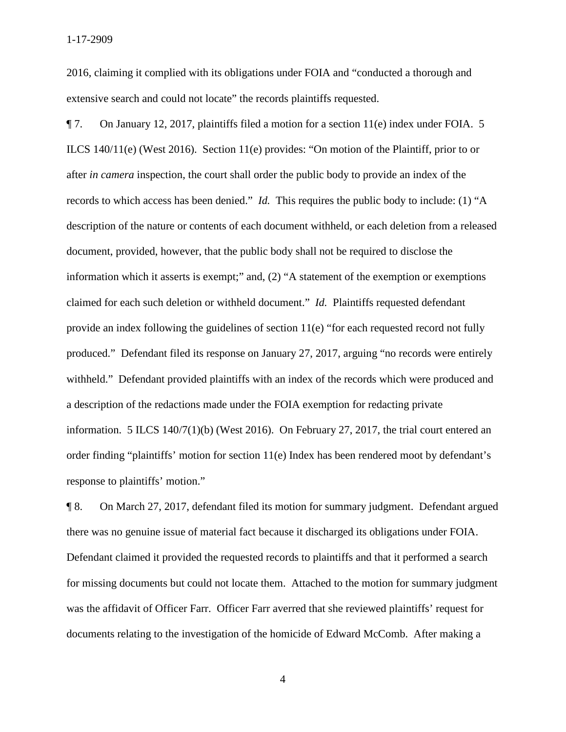2016, claiming it complied with its obligations under FOIA and "conducted a thorough and extensive search and could not locate" the records plaintiffs requested.

 records to which access has been denied." *Id.* This requires the public body to include: (1) "A claimed for each such deletion or withheld document." *Id.* Plaintiffs requested defendant produced." Defendant filed its response on January 27, 2017, arguing "no records were entirely withheld." Defendant provided plaintiffs with an index of the records which were produced and order finding "plaintiffs' motion for section 11(e) Index has been rendered moot by defendant's ¶ 7. On January 12, 2017, plaintiffs filed a motion for a section 11(e) index under FOIA. 5 ILCS 140/11(e) (West 2016). Section 11(e) provides: "On motion of the Plaintiff, prior to or after *in camera* inspection, the court shall order the public body to provide an index of the description of the nature or contents of each document withheld, or each deletion from a released document, provided, however, that the public body shall not be required to disclose the information which it asserts is exempt;" and, (2) "A statement of the exemption or exemptions provide an index following the guidelines of section 11(e) "for each requested record not fully a description of the redactions made under the FOIA exemption for redacting private information. 5 ILCS 140/7(1)(b) (West 2016). On February 27, 2017, the trial court entered an response to plaintiffs' motion."

 Defendant claimed it provided the requested records to plaintiffs and that it performed a search was the affidavit of Officer Farr. Officer Farr averred that she reviewed plaintiffs' request for ¶ 8. On March 27, 2017, defendant filed its motion for summary judgment. Defendant argued there was no genuine issue of material fact because it discharged its obligations under FOIA. for missing documents but could not locate them. Attached to the motion for summary judgment documents relating to the investigation of the homicide of Edward McComb. After making a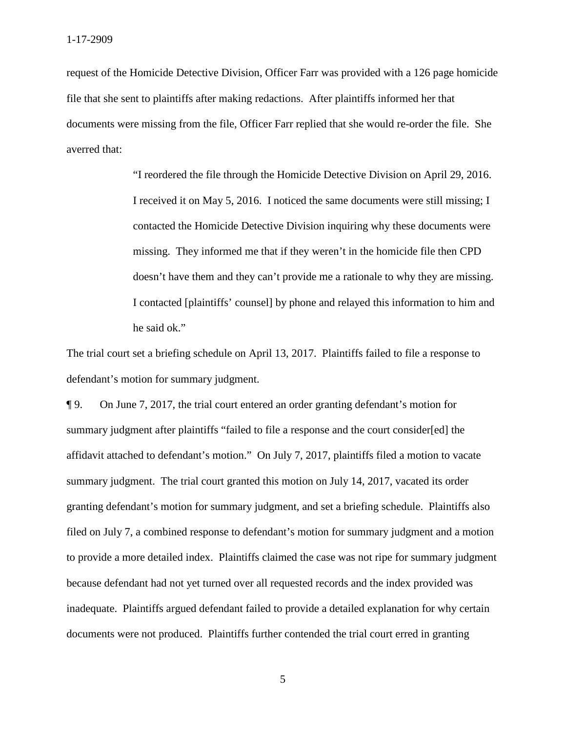1-17-2909

 request of the Homicide Detective Division, Officer Farr was provided with a 126 page homicide file that she sent to plaintiffs after making redactions. After plaintiffs informed her that documents were missing from the file, Officer Farr replied that she would re-order the file. She averred that:

> contacted the Homicide Detective Division inquiring why these documents were doesn't have them and they can't provide me a rationale to why they are missing. "I reordered the file through the Homicide Detective Division on April 29, 2016. I received it on May 5, 2016. I noticed the same documents were still missing; I missing. They informed me that if they weren't in the homicide file then CPD I contacted [plaintiffs' counsel] by phone and relayed this information to him and he said ok."

The trial court set a briefing schedule on April 13, 2017. Plaintiffs failed to file a response to defendant's motion for summary judgment.

 summary judgment after plaintiffs "failed to file a response and the court consider[ed] the ¶ 9. On June 7, 2017, the trial court entered an order granting defendant's motion for affidavit attached to defendant's motion." On July 7, 2017, plaintiffs filed a motion to vacate summary judgment. The trial court granted this motion on July 14, 2017, vacated its order granting defendant's motion for summary judgment, and set a briefing schedule. Plaintiffs also filed on July 7, a combined response to defendant's motion for summary judgment and a motion to provide a more detailed index. Plaintiffs claimed the case was not ripe for summary judgment because defendant had not yet turned over all requested records and the index provided was inadequate. Plaintiffs argued defendant failed to provide a detailed explanation for why certain documents were not produced. Plaintiffs further contended the trial court erred in granting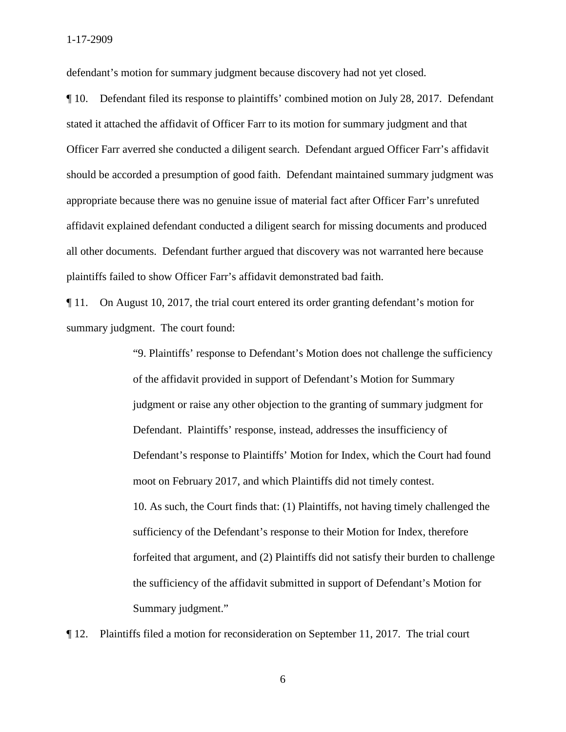defendant's motion for summary judgment because discovery had not yet closed.

¶ 10. Defendant filed its response to plaintiffs' combined motion on July 28, 2017. Defendant stated it attached the affidavit of Officer Farr to its motion for summary judgment and that Officer Farr averred she conducted a diligent search. Defendant argued Officer Farr's affidavit should be accorded a presumption of good faith. Defendant maintained summary judgment was appropriate because there was no genuine issue of material fact after Officer Farr's unrefuted affidavit explained defendant conducted a diligent search for missing documents and produced all other documents. Defendant further argued that discovery was not warranted here because plaintiffs failed to show Officer Farr's affidavit demonstrated bad faith.

¶ 11. On August 10, 2017, the trial court entered its order granting defendant's motion for summary judgment. The court found:

> judgment or raise any other objection to the granting of summary judgment for moot on February 2017, and which Plaintiffs did not timely contest. "9. Plaintiffs' response to Defendant's Motion does not challenge the sufficiency of the affidavit provided in support of Defendant's Motion for Summary Defendant. Plaintiffs' response, instead, addresses the insufficiency of Defendant's response to Plaintiffs' Motion for Index, which the Court had found 10. As such, the Court finds that: (1) Plaintiffs, not having timely challenged the sufficiency of the Defendant's response to their Motion for Index, therefore forfeited that argument, and (2) Plaintiffs did not satisfy their burden to challenge the sufficiency of the affidavit submitted in support of Defendant's Motion for Summary judgment."

¶ 12. Plaintiffs filed a motion for reconsideration on September 11, 2017. The trial court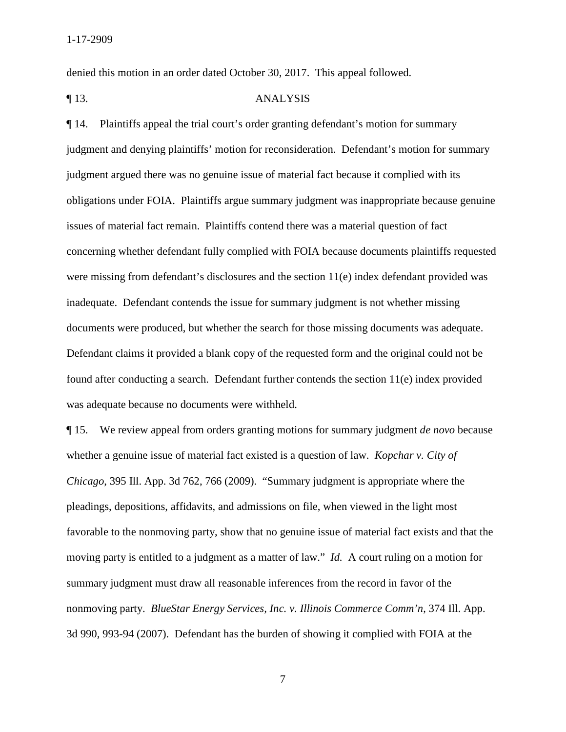denied this motion in an order dated October 30, 2017. This appeal followed.

### ¶ 13. ANALYSIS

documents were produced, but whether the search for those missing documents was adequate. ¶ 14. Plaintiffs appeal the trial court's order granting defendant's motion for summary judgment and denying plaintiffs' motion for reconsideration. Defendant's motion for summary judgment argued there was no genuine issue of material fact because it complied with its obligations under FOIA. Plaintiffs argue summary judgment was inappropriate because genuine issues of material fact remain. Plaintiffs contend there was a material question of fact concerning whether defendant fully complied with FOIA because documents plaintiffs requested were missing from defendant's disclosures and the section 11(e) index defendant provided was inadequate. Defendant contends the issue for summary judgment is not whether missing Defendant claims it provided a blank copy of the requested form and the original could not be found after conducting a search. Defendant further contends the section 11(e) index provided was adequate because no documents were withheld.

 ¶ 15. We review appeal from orders granting motions for summary judgment *de novo* because whether a genuine issue of material fact existed is a question of law. *Kopchar v. City of*  moving party is entitled to a judgment as a matter of law." *Id.* A court ruling on a motion for 3d 990, 993-94 (2007). Defendant has the burden of showing it complied with FOIA at the *Chicago*, 395 Ill. App. 3d 762, 766 (2009). "Summary judgment is appropriate where the pleadings, depositions, affidavits, and admissions on file, when viewed in the light most favorable to the nonmoving party, show that no genuine issue of material fact exists and that the summary judgment must draw all reasonable inferences from the record in favor of the nonmoving party. *BlueStar Energy Services, Inc. v. Illinois Commerce Comm'n*, 374 Ill. App.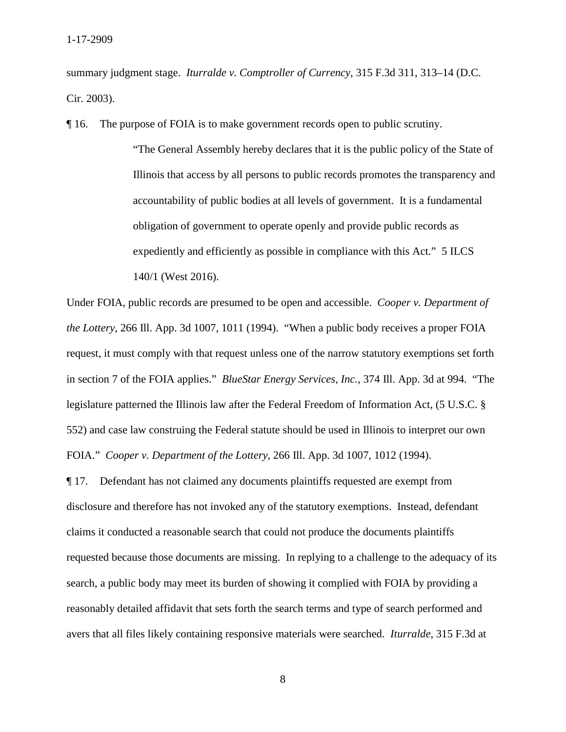summary judgment stage. *Iturralde v. Comptroller of Currency*, 315 F.3d 311, 313–14 (D.C. Cir. 2003).

¶ 16. The purpose of FOIA is to make government records open to public scrutiny.

 accountability of public bodies at all levels of government. It is a fundamental expediently and efficiently as possible in compliance with this Act." 5 ILCS "The General Assembly hereby declares that it is the public policy of the State of Illinois that access by all persons to public records promotes the transparency and obligation of government to operate openly and provide public records as 140/1 (West 2016).

 *the Lottery*, 266 Ill. App. 3d 1007, 1011 (1994). "When a public body receives a proper FOIA in section 7 of the FOIA applies." *BlueStar Energy Services, Inc.*, 374 Ill. App. 3d at 994. "The FOIA." *Cooper v. Department of the Lottery*, 266 Ill. App. 3d 1007, 1012 (1994). Under FOIA, public records are presumed to be open and accessible. *Cooper v. Department of*  request, it must comply with that request unless one of the narrow statutory exemptions set forth legislature patterned the Illinois law after the Federal Freedom of Information Act, (5 U.S.C. § 552) and case law construing the Federal statute should be used in Illinois to interpret our own

 requested because those documents are missing. In replying to a challenge to the adequacy of its avers that all files likely containing responsive materials were searched. *Iturralde*, 315 F.3d at ¶ 17. Defendant has not claimed any documents plaintiffs requested are exempt from disclosure and therefore has not invoked any of the statutory exemptions. Instead, defendant claims it conducted a reasonable search that could not produce the documents plaintiffs search, a public body may meet its burden of showing it complied with FOIA by providing a reasonably detailed affidavit that sets forth the search terms and type of search performed and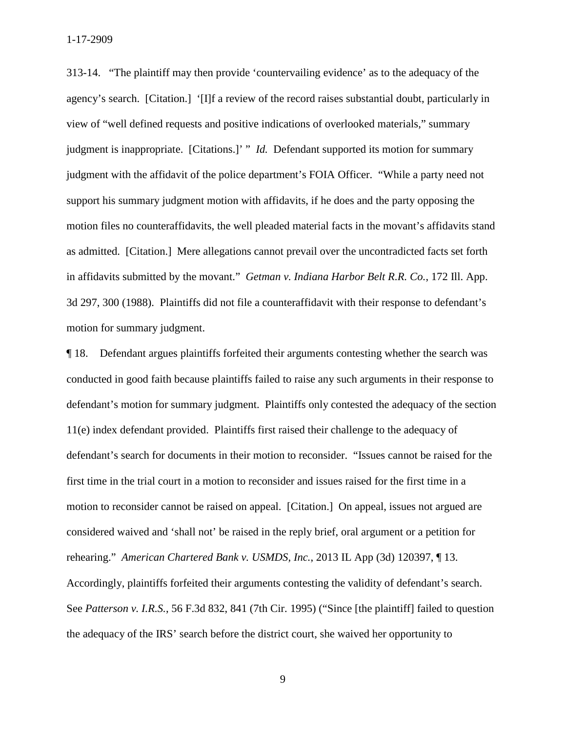313-14. "The plaintiff may then provide 'countervailing evidence' as to the adequacy of the agency's search. [Citation.] '[I]f a review of the record raises substantial doubt, particularly in judgment is inappropriate. [Citations.]' " *Id.* Defendant supported its motion for summary judgment with the affidavit of the police department's FOIA Officer. "While a party need not as admitted. [Citation.] Mere allegations cannot prevail over the uncontradicted facts set forth in affidavits submitted by the movant." *Getman v. Indiana Harbor Belt R.R. Co.*, 172 Ill. App. view of "well defined requests and positive indications of overlooked materials," summary support his summary judgment motion with affidavits, if he does and the party opposing the motion files no counteraffidavits, the well pleaded material facts in the movant's affidavits stand 3d 297, 300 (1988). Plaintiffs did not file a counteraffidavit with their response to defendant's motion for summary judgment.

 rehearing." *American Chartered Bank v. USMDS, Inc.*, 2013 IL App (3d) 120397, ¶ 13. Accordingly, plaintiffs forfeited their arguments contesting the validity of defendant's search. the adequacy of the IRS' search before the district court, she waived her opportunity to ¶ 18. Defendant argues plaintiffs forfeited their arguments contesting whether the search was conducted in good faith because plaintiffs failed to raise any such arguments in their response to defendant's motion for summary judgment. Plaintiffs only contested the adequacy of the section 11(e) index defendant provided. Plaintiffs first raised their challenge to the adequacy of defendant's search for documents in their motion to reconsider. "Issues cannot be raised for the first time in the trial court in a motion to reconsider and issues raised for the first time in a motion to reconsider cannot be raised on appeal. [Citation.] On appeal, issues not argued are considered waived and 'shall not' be raised in the reply brief, oral argument or a petition for See *Patterson v. I.R.S.*, 56 F.3d 832, 841 (7th Cir. 1995) ("Since [the plaintiff] failed to question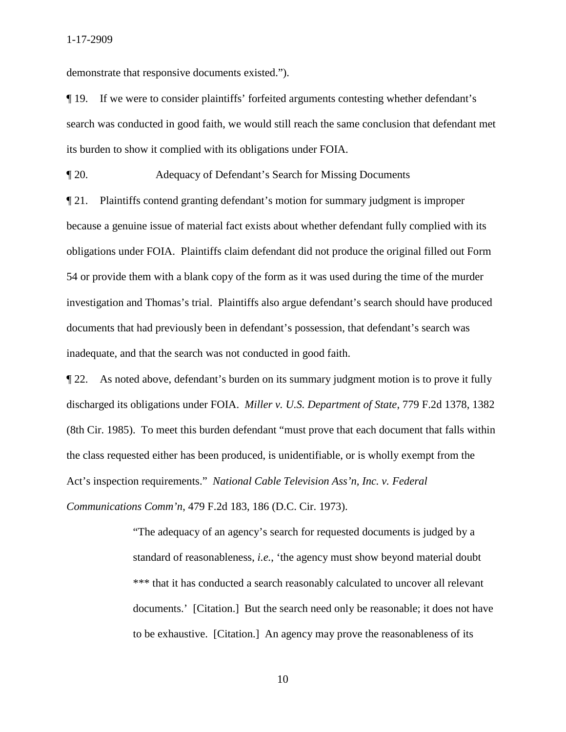demonstrate that responsive documents existed.").

¶ 19. If we were to consider plaintiffs' forfeited arguments contesting whether defendant's search was conducted in good faith, we would still reach the same conclusion that defendant met its burden to show it complied with its obligations under FOIA.

¶ 20. Adequacy of Defendant's Search for Missing Documents

 54 or provide them with a blank copy of the form as it was used during the time of the murder ¶ 21. Plaintiffs contend granting defendant's motion for summary judgment is improper because a genuine issue of material fact exists about whether defendant fully complied with its obligations under FOIA. Plaintiffs claim defendant did not produce the original filled out Form investigation and Thomas's trial. Plaintiffs also argue defendant's search should have produced documents that had previously been in defendant's possession, that defendant's search was inadequate, and that the search was not conducted in good faith.

 Act's inspection requirements." *National Cable Television Ass'n, Inc. v. Federal*  ¶ 22. As noted above, defendant's burden on its summary judgment motion is to prove it fully discharged its obligations under FOIA. *Miller v. U.S. Department of State*, 779 F.2d 1378, 1382 (8th Cir. 1985). To meet this burden defendant "must prove that each document that falls within the class requested either has been produced, is unidentifiable, or is wholly exempt from the *Communications Comm'n*, 479 F.2d 183, 186 (D.C. Cir. 1973).

> \*\*\* that it has conducted a search reasonably calculated to uncover all relevant documents.' [Citation.] But the search need only be reasonable; it does not have to be exhaustive. [Citation.] An agency may prove the reasonableness of its "The adequacy of an agency's search for requested documents is judged by a standard of reasonableness, *i.e.*, 'the agency must show beyond material doubt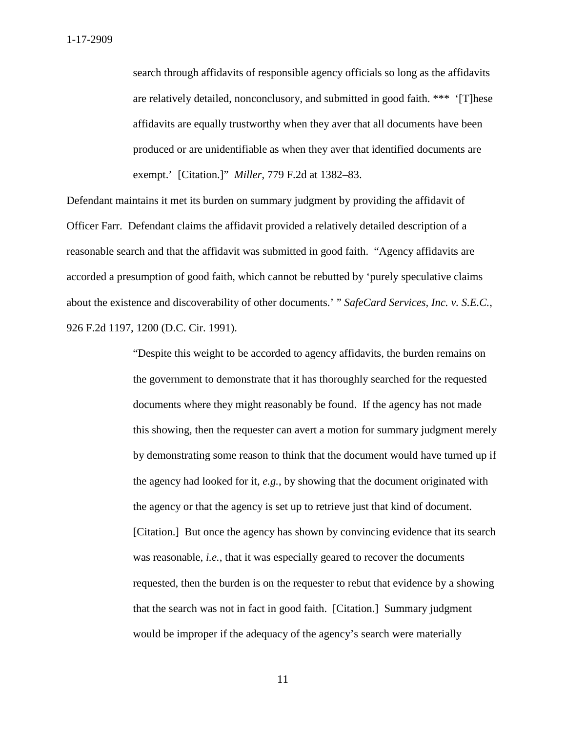search through affidavits of responsible agency officials so long as the affidavits produced or are unidentifiable as when they aver that identified documents are exempt.' [Citation.]" *Miller*, 779 F.2d at 1382–83. are relatively detailed, nonconclusory, and submitted in good faith. \*\*\* '[T]hese affidavits are equally trustworthy when they aver that all documents have been

 Officer Farr. Defendant claims the affidavit provided a relatively detailed description of a Defendant maintains it met its burden on summary judgment by providing the affidavit of reasonable search and that the affidavit was submitted in good faith. "Agency affidavits are accorded a presumption of good faith, which cannot be rebutted by 'purely speculative claims about the existence and discoverability of other documents.' " *SafeCard Services, Inc. v. S.E.C.*, 926 F.2d 1197, 1200 (D.C. Cir. 1991).

> documents where they might reasonably be found. If the agency has not made was reasonable, *i.e.*, that it was especially geared to recover the documents "Despite this weight to be accorded to agency affidavits, the burden remains on the government to demonstrate that it has thoroughly searched for the requested this showing, then the requester can avert a motion for summary judgment merely by demonstrating some reason to think that the document would have turned up if the agency had looked for it, *e.g.*, by showing that the document originated with the agency or that the agency is set up to retrieve just that kind of document. [Citation.] But once the agency has shown by convincing evidence that its search requested, then the burden is on the requester to rebut that evidence by a showing that the search was not in fact in good faith. [Citation.] Summary judgment would be improper if the adequacy of the agency's search were materially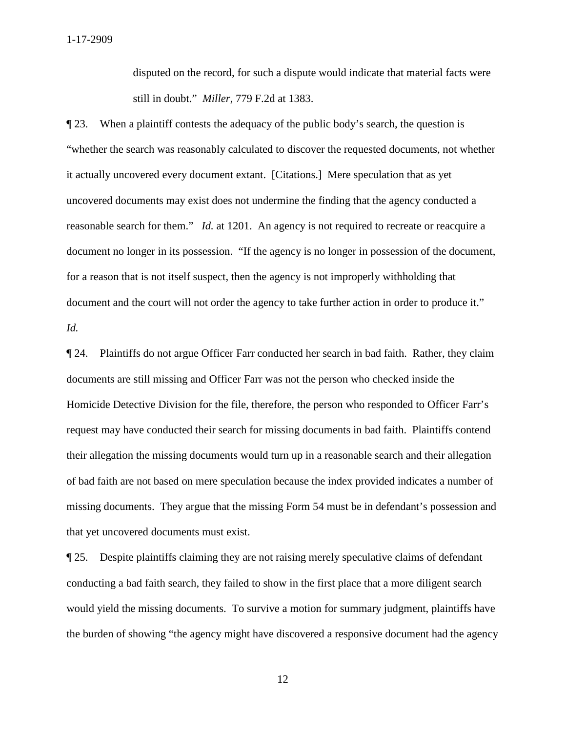still in doubt." *Miller*, 779 F.2d at 1383. disputed on the record, for such a dispute would indicate that material facts were

 "whether the search was reasonably calculated to discover the requested documents, not whether it actually uncovered every document extant. [Citations.] Mere speculation that as yet reasonable search for them." *Id.* at 1201. An agency is not required to recreate or reacquire a document and the court will not order the agency to take further action in order to produce it." *Id.* ¶ 23. When a plaintiff contests the adequacy of the public body's search, the question is uncovered documents may exist does not undermine the finding that the agency conducted a document no longer in its possession. "If the agency is no longer in possession of the document, for a reason that is not itself suspect, then the agency is not improperly withholding that

 documents are still missing and Officer Farr was not the person who checked inside the ¶ 24. Plaintiffs do not argue Officer Farr conducted her search in bad faith. Rather, they claim Homicide Detective Division for the file, therefore, the person who responded to Officer Farr's request may have conducted their search for missing documents in bad faith. Plaintiffs contend their allegation the missing documents would turn up in a reasonable search and their allegation of bad faith are not based on mere speculation because the index provided indicates a number of missing documents. They argue that the missing Form 54 must be in defendant's possession and that yet uncovered documents must exist.

¶ 25. Despite plaintiffs claiming they are not raising merely speculative claims of defendant conducting a bad faith search, they failed to show in the first place that a more diligent search would yield the missing documents. To survive a motion for summary judgment, plaintiffs have the burden of showing "the agency might have discovered a responsive document had the agency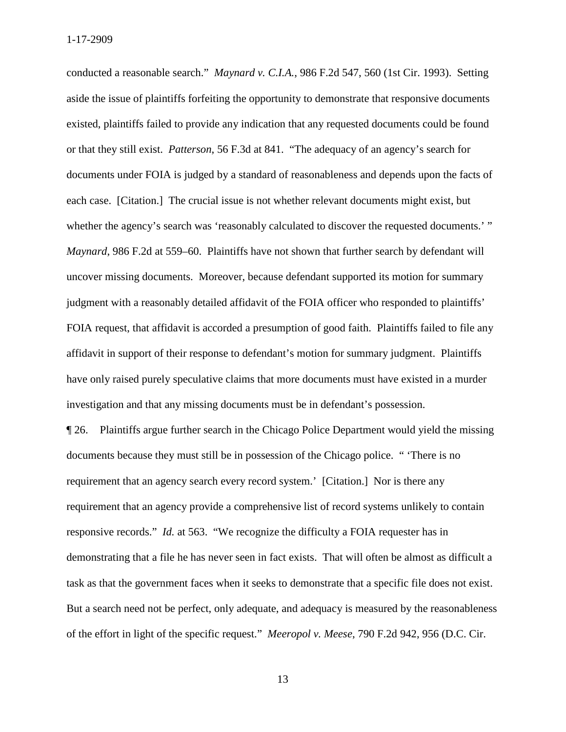conducted a reasonable search." *Maynard v. C.I.A.*, 986 F.2d 547, 560 (1st Cir. 1993). Setting or that they still exist. *Patterson*, 56 F.3d at 841. "The adequacy of an agency's search for each case. [Citation.] The crucial issue is not whether relevant documents might exist, but whether the agency's search was 'reasonably calculated to discover the requested documents.'" *Maynard*, 986 F.2d at 559–60. Plaintiffs have not shown that further search by defendant will FOIA request, that affidavit is accorded a presumption of good faith. Plaintiffs failed to file any aside the issue of plaintiffs forfeiting the opportunity to demonstrate that responsive documents existed, plaintiffs failed to provide any indication that any requested documents could be found documents under FOIA is judged by a standard of reasonableness and depends upon the facts of uncover missing documents. Moreover, because defendant supported its motion for summary judgment with a reasonably detailed affidavit of the FOIA officer who responded to plaintiffs' affidavit in support of their response to defendant's motion for summary judgment. Plaintiffs have only raised purely speculative claims that more documents must have existed in a murder investigation and that any missing documents must be in defendant's possession.

 requirement that an agency search every record system.' [Citation.] Nor is there any responsive records." *Id.* at 563. "We recognize the difficulty a FOIA requester has in of the effort in light of the specific request." *Meeropol v. Meese*, 790 F.2d 942, 956 (D.C. Cir. ¶ 26. Plaintiffs argue further search in the Chicago Police Department would yield the missing documents because they must still be in possession of the Chicago police. " 'There is no requirement that an agency provide a comprehensive list of record systems unlikely to contain demonstrating that a file he has never seen in fact exists. That will often be almost as difficult a task as that the government faces when it seeks to demonstrate that a specific file does not exist. But a search need not be perfect, only adequate, and adequacy is measured by the reasonableness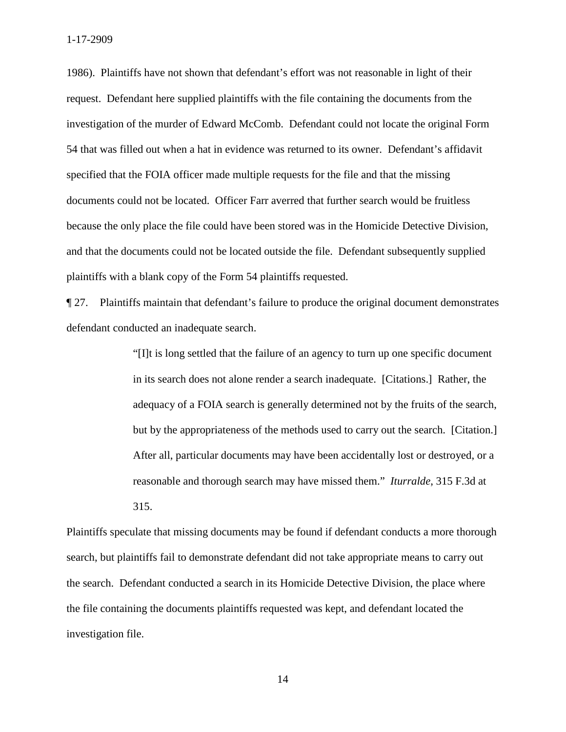1986). Plaintiffs have not shown that defendant's effort was not reasonable in light of their request. Defendant here supplied plaintiffs with the file containing the documents from the investigation of the murder of Edward McComb. Defendant could not locate the original Form 54 that was filled out when a hat in evidence was returned to its owner. Defendant's affidavit specified that the FOIA officer made multiple requests for the file and that the missing documents could not be located. Officer Farr averred that further search would be fruitless because the only place the file could have been stored was in the Homicide Detective Division, and that the documents could not be located outside the file. Defendant subsequently supplied plaintiffs with a blank copy of the Form 54 plaintiffs requested.

¶ 27. Plaintiffs maintain that defendant's failure to produce the original document demonstrates defendant conducted an inadequate search.

> in its search does not alone render a search inadequate. [Citations.] Rather, the but by the appropriateness of the methods used to carry out the search. [Citation.] reasonable and thorough search may have missed them." *Iturralde*, 315 F.3d at "[I]t is long settled that the failure of an agency to turn up one specific document adequacy of a FOIA search is generally determined not by the fruits of the search, After all, particular documents may have been accidentally lost or destroyed, or a 315.

 Plaintiffs speculate that missing documents may be found if defendant conducts a more thorough search, but plaintiffs fail to demonstrate defendant did not take appropriate means to carry out investigation file. the search. Defendant conducted a search in its Homicide Detective Division, the place where the file containing the documents plaintiffs requested was kept, and defendant located the investigation file.<br>14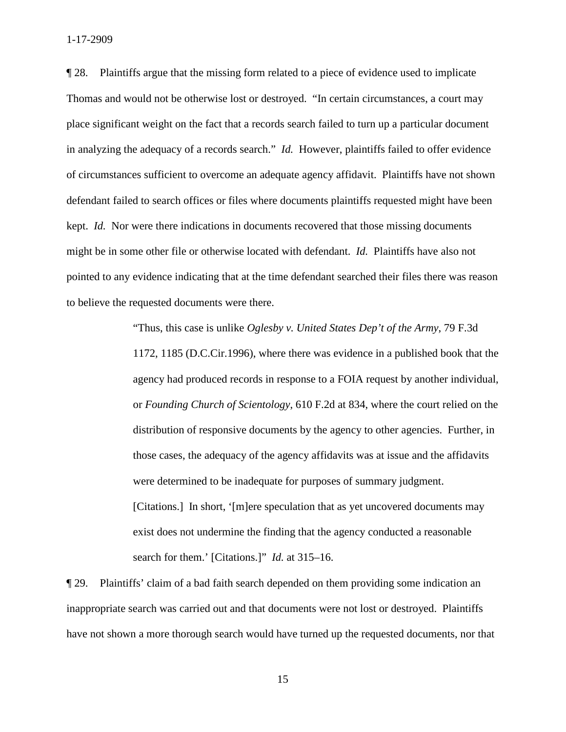place significant weight on the fact that a records search failed to turn up a particular document in analyzing the adequacy of a records search." *Id.* However, plaintiffs failed to offer evidence might be in some other file or otherwise located with defendant. *Id.* Plaintiffs have also not ¶ 28. Plaintiffs argue that the missing form related to a piece of evidence used to implicate Thomas and would not be otherwise lost or destroyed. "In certain circumstances, a court may of circumstances sufficient to overcome an adequate agency affidavit. Plaintiffs have not shown defendant failed to search offices or files where documents plaintiffs requested might have been kept. *Id.* Nor were there indications in documents recovered that those missing documents pointed to any evidence indicating that at the time defendant searched their files there was reason to believe the requested documents were there.

> distribution of responsive documents by the agency to other agencies. Further, in [Citations.] In short, '[m]ere speculation that as yet uncovered documents may exist does not undermine the finding that the agency conducted a reasonable search for them.' [Citations.]" *Id.* at 315–16. "Thus, this case is unlike *Oglesby v. United States Dep't of the Army*, 79 F.3d 1172, 1185 (D.C.Cir.1996), where there was evidence in a published book that the agency had produced records in response to a FOIA request by another individual, or *Founding Church of Scientology*, 610 F.2d at 834, where the court relied on the those cases, the adequacy of the agency affidavits was at issue and the affidavits were determined to be inadequate for purposes of summary judgment.

¶ 29. Plaintiffs' claim of a bad faith search depended on them providing some indication an inappropriate search was carried out and that documents were not lost or destroyed. Plaintiffs have not shown a more thorough search would have turned up the requested documents, nor that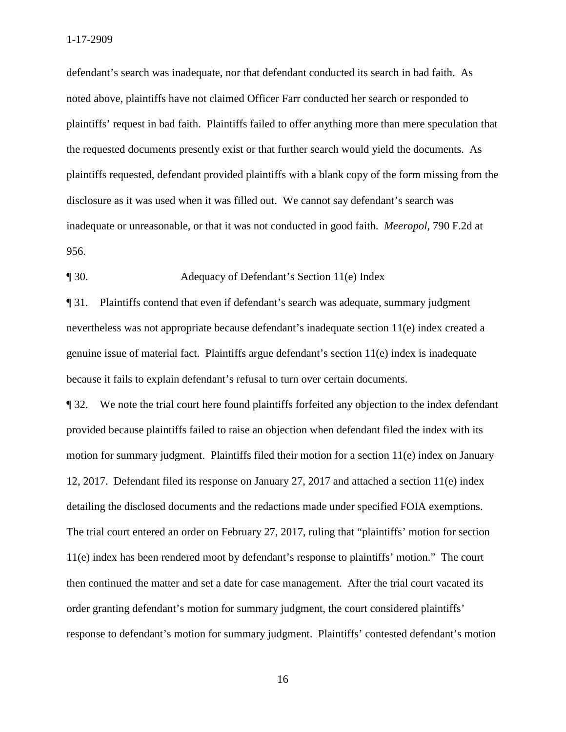defendant's search was inadequate, nor that defendant conducted its search in bad faith. As noted above, plaintiffs have not claimed Officer Farr conducted her search or responded to plaintiffs' request in bad faith. Plaintiffs failed to offer anything more than mere speculation that the requested documents presently exist or that further search would yield the documents. As plaintiffs requested, defendant provided plaintiffs with a blank copy of the form missing from the disclosure as it was used when it was filled out. We cannot say defendant's search was inadequate or unreasonable, or that it was not conducted in good faith. *Meeropol*, 790 F.2d at 956.

### ¶ 30. Adequacy of Defendant's Section 11(e) Index

¶ 31. Plaintiffs contend that even if defendant's search was adequate, summary judgment nevertheless was not appropriate because defendant's inadequate section 11(e) index created a genuine issue of material fact. Plaintiffs argue defendant's section 11(e) index is inadequate because it fails to explain defendant's refusal to turn over certain documents.

 then continued the matter and set a date for case management. After the trial court vacated its ¶ 32. We note the trial court here found plaintiffs forfeited any objection to the index defendant provided because plaintiffs failed to raise an objection when defendant filed the index with its motion for summary judgment. Plaintiffs filed their motion for a section 11(e) index on January 12, 2017. Defendant filed its response on January 27, 2017 and attached a section 11(e) index detailing the disclosed documents and the redactions made under specified FOIA exemptions. The trial court entered an order on February 27, 2017, ruling that "plaintiffs' motion for section 11(e) index has been rendered moot by defendant's response to plaintiffs' motion." The court order granting defendant's motion for summary judgment, the court considered plaintiffs' response to defendant's motion for summary judgment. Plaintiffs' contested defendant's motion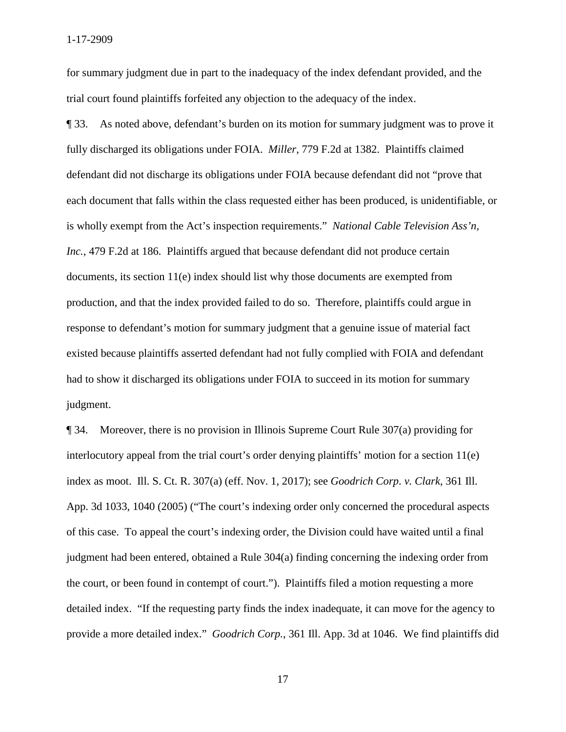for summary judgment due in part to the inadequacy of the index defendant provided, and the trial court found plaintiffs forfeited any objection to the adequacy of the index.

 is wholly exempt from the Act's inspection requirements." *National Cable Television Ass'n,*  ¶ 33. As noted above, defendant's burden on its motion for summary judgment was to prove it fully discharged its obligations under FOIA. *Miller*, 779 F.2d at 1382. Plaintiffs claimed defendant did not discharge its obligations under FOIA because defendant did not "prove that each document that falls within the class requested either has been produced, is unidentifiable, or *Inc.*, 479 F.2d at 186. Plaintiffs argued that because defendant did not produce certain documents, its section 11(e) index should list why those documents are exempted from production, and that the index provided failed to do so. Therefore, plaintiffs could argue in response to defendant's motion for summary judgment that a genuine issue of material fact existed because plaintiffs asserted defendant had not fully complied with FOIA and defendant had to show it discharged its obligations under FOIA to succeed in its motion for summary judgment.

 the court, or been found in contempt of court."). Plaintiffs filed a motion requesting a more provide a more detailed index." *Goodrich Corp.*, 361 Ill. App. 3d at 1046. We find plaintiffs did ¶ 34. Moreover, there is no provision in Illinois Supreme Court Rule 307(a) providing for interlocutory appeal from the trial court's order denying plaintiffs' motion for a section 11(e) index as moot. Ill. S. Ct. R. 307(a) (eff. Nov. 1, 2017); see *Goodrich Corp. v. Clark*, 361 Ill. App. 3d 1033, 1040 (2005) ("The court's indexing order only concerned the procedural aspects of this case. To appeal the court's indexing order, the Division could have waited until a final judgment had been entered, obtained a Rule 304(a) finding concerning the indexing order from detailed index. "If the requesting party finds the index inadequate, it can move for the agency to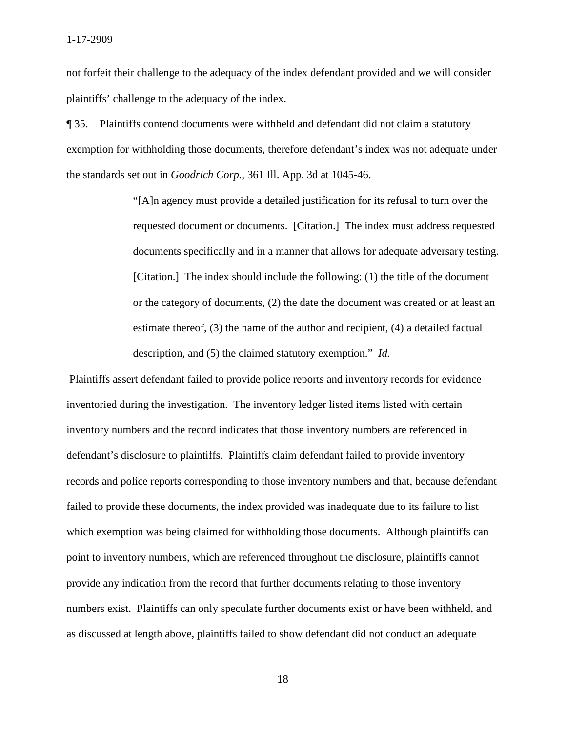not forfeit their challenge to the adequacy of the index defendant provided and we will consider plaintiffs' challenge to the adequacy of the index.

 ¶ 35. Plaintiffs contend documents were withheld and defendant did not claim a statutory exemption for withholding those documents, therefore defendant's index was not adequate under the standards set out in *Goodrich Corp.*, 361 Ill. App. 3d at 1045-46.

> or the category of documents, (2) the date the document was created or at least an description, and (5) the claimed statutory exemption." *Id.* "[A]n agency must provide a detailed justification for its refusal to turn over the requested document or documents. [Citation.] The index must address requested documents specifically and in a manner that allows for adequate adversary testing. [Citation.] The index should include the following: (1) the title of the document estimate thereof, (3) the name of the author and recipient, (4) a detailed factual

 Plaintiffs assert defendant failed to provide police reports and inventory records for evidence inventoried during the investigation. The inventory ledger listed items listed with certain inventory numbers and the record indicates that those inventory numbers are referenced in defendant's disclosure to plaintiffs. Plaintiffs claim defendant failed to provide inventory records and police reports corresponding to those inventory numbers and that, because defendant failed to provide these documents, the index provided was inadequate due to its failure to list which exemption was being claimed for withholding those documents. Although plaintiffs can point to inventory numbers, which are referenced throughout the disclosure, plaintiffs cannot provide any indication from the record that further documents relating to those inventory numbers exist. Plaintiffs can only speculate further documents exist or have been withheld, and as discussed at length above, plaintiffs failed to show defendant did not conduct an adequate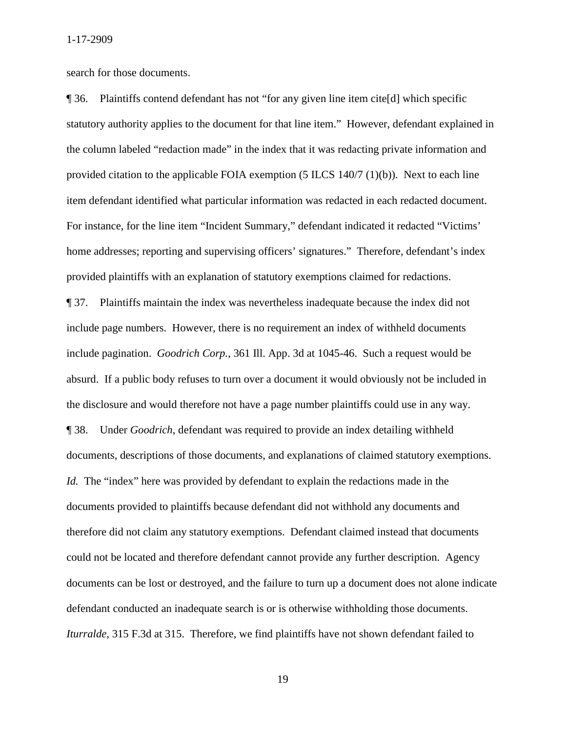search for those documents.

 ¶ 36. Plaintiffs contend defendant has not "for any given line item cite[d] which specific statutory authority applies to the document for that line item." However, defendant explained in the column labeled "redaction made" in the index that it was redacting private information and provided citation to the applicable FOIA exemption (5 ILCS 140/7 (1)(b)). Next to each line item defendant identified what particular information was redacted in each redacted document. For instance, for the line item "Incident Summary," defendant indicated it redacted "Victims' home addresses; reporting and supervising officers' signatures." Therefore, defendant's index provided plaintiffs with an explanation of statutory exemptions claimed for redactions. ¶ 37. Plaintiffs maintain the index was nevertheless inadequate because the index did not include page numbers. However, there is no requirement an index of withheld documents include pagination. *Goodrich Corp.*, 361 Ill. App. 3d at 1045-46. Such a request would be absurd. If a public body refuses to turn over a document it would obviously not be included in

the disclosure and would therefore not have a page number plaintiffs could use in any way.

 documents, descriptions of those documents, and explanations of claimed statutory exemptions. *Id.* The "index" here was provided by defendant to explain the redactions made in the ¶ 38. Under *Goodrich*, defendant was required to provide an index detailing withheld documents provided to plaintiffs because defendant did not withhold any documents and therefore did not claim any statutory exemptions. Defendant claimed instead that documents could not be located and therefore defendant cannot provide any further description. Agency documents can be lost or destroyed, and the failure to turn up a document does not alone indicate defendant conducted an inadequate search is or is otherwise withholding those documents. *Iturralde*, 315 F.3d at 315. Therefore, we find plaintiffs have not shown defendant failed to